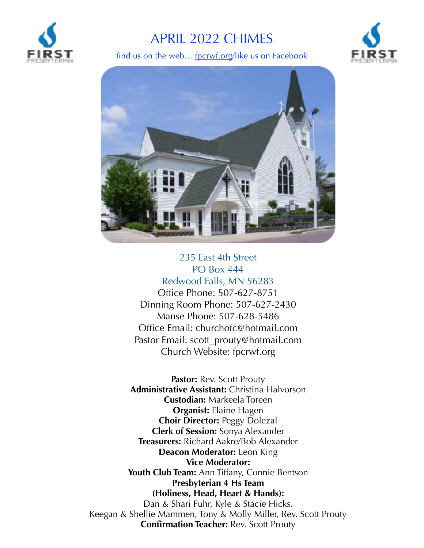

# APRIL 2022 CHIMES<br>find us on the web... <u>fpcrwf.org</u>/like us on Facebook





# 235 East 4th Street PO Box 444

Redwood Falls, MN 56283 Office Phone: 507-627-8751 Dinning Room Phone: 507-627-2430 Manse Phone: 507-628-5486 Office Email: [churchofc@hotmail.com](mailto:churchofc@hotmail.com) Pastor Email: [scott\\_prouty@hotmail.com](mailto:scott_prouty@hotmail.com) Church Website: [fpcrwf.org](http://fpcrwf.org)

Pastor: Rev. Scott Prouty **Administrative Assistant:** Christina Halvorson **Custodian:** Markeela Toreen **Organist:** Elaine Hagen **Choir Director:** Peggy Dolezal **Clerk of Session:** Sonya Alexander **Treasurers:** Richard Aakre/Bob Alexander **Deacon Moderator:** Leon King **Vice Moderator: Youth Club Team:** Ann Tiffany, Connie Bentson **Presbyterian 4 Hs Team (Holiness, Head, Heart & Hands):** Dan & Shari Fuhr, Kyle & Stacie Hicks, Keegan & Shellie Mammen, Tony & Molly Miller, Rev. Scott Prouty **Confirmation Teacher:** Rev. Scott Prouty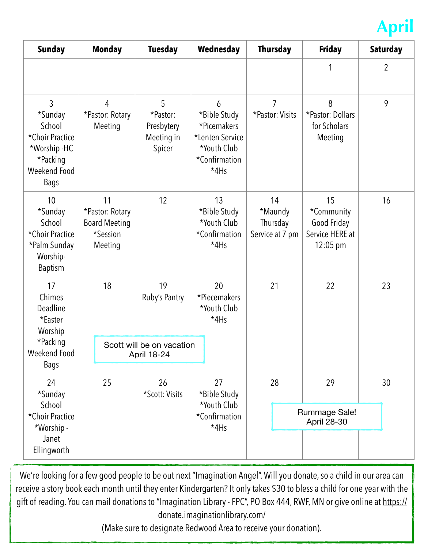

| <b>Sunday</b>                                                                                       | <b>Monday</b>                                                        | <b>Tuesday</b>                                      | Wednesday                                                                                     | <b>Thursday</b>                              | <b>Friday</b>                                                  | <b>Saturday</b> |
|-----------------------------------------------------------------------------------------------------|----------------------------------------------------------------------|-----------------------------------------------------|-----------------------------------------------------------------------------------------------|----------------------------------------------|----------------------------------------------------------------|-----------------|
|                                                                                                     |                                                                      |                                                     |                                                                                               |                                              | 1                                                              | $\overline{2}$  |
| 3<br>*Sunday<br>School<br>*Choir Practice<br>*Worship-HC<br>*Packing<br>Weekend Food<br><b>Bags</b> | 4<br>*Pastor: Rotary<br>Meeting                                      | 5<br>*Pastor:<br>Presbytery<br>Meeting in<br>Spicer | 6<br>*Bible Study<br>*Picemakers<br>*Lenten Service<br>*Youth Club<br>*Confirmation<br>$*4Hs$ | $\overline{7}$<br>*Pastor: Visits            | 8<br>*Pastor: Dollars<br>for Scholars<br>Meeting               | 9               |
| 10<br>*Sunday<br>School<br>*Choir Practice<br>*Palm Sunday<br>Worship-<br><b>Baptism</b>            | 11<br>*Pastor: Rotary<br><b>Board Meeting</b><br>*Session<br>Meeting | 12                                                  | 13<br>*Bible Study<br>*Youth Club<br>*Confirmation<br>$*4Hs$                                  | 14<br>*Maundy<br>Thursday<br>Service at 7 pm | 15<br>*Community<br>Good Friday<br>Service HERE at<br>12:05 pm | 16              |
| 17<br>Chimes<br>Deadline<br>*Easter<br>Worship<br>*Packing<br>Weekend Food<br><b>Bags</b>           | 18                                                                   | 19<br>Ruby's Pantry                                 | 20<br>*Piecemakers<br>*Youth Club<br>$*4Hs$                                                   | 21                                           | 22                                                             | 23              |
|                                                                                                     |                                                                      | Scott will be on vacation<br>April 18-24            |                                                                                               |                                              |                                                                |                 |
| 24<br>*Sunday<br>School<br>*Choir Practice<br>*Worship -<br>Janet<br>Ellingworth                    | 25                                                                   | 26<br>*Scott: Visits                                | 27<br>*Bible Study<br>*Youth Club<br>*Confirmation<br>$*4Hs$                                  | 28                                           | 29                                                             | 30              |
|                                                                                                     |                                                                      |                                                     |                                                                                               |                                              | <b>Rummage Sale!</b><br>April 28-30                            |                 |

We're looking for a few good people to be out next "Imagination Angel". Will you donate, so a child in our area can receive a story book each month until they enter Kindergarten? It only takes \$30 to bless a child for one year with the gift of reading. You can mail donations to "Imagination Library - FPC", PO Box 444, RWF, MN or give online at [https://](https://donate.imaginationlibrary.com/) [donate.imaginationlibrary.com/](https://donate.imaginationlibrary.com/)

(Make sure to designate Redwood Area to receive your donation).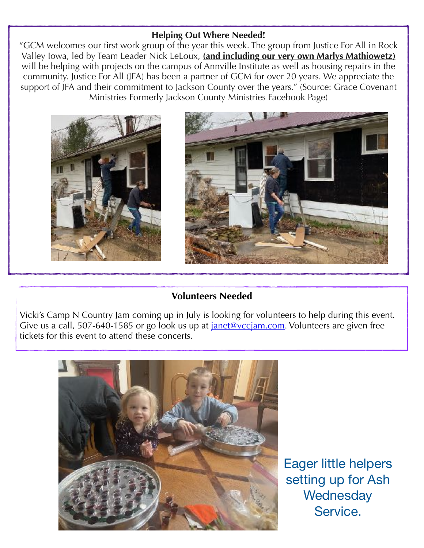#### **Helping Out Where Needed!**

"GCM welcomes our first work group of the year this week. The group from Justice For All in Rock Valley Iowa, led by Team Leader Nick LeLoux, **(and including our very own Marlys Mathiowetz)**  will be helping with projects on the campus of Annville Institute as well as housing repairs in the community. Justice For All (JFA) has been a partner of GCM for over 20 years. We appreciate the support of JFA and their commitment to Jackson County over the years." (Source: Grace Covenant Ministries Formerly Jackson County Ministries Facebook Page)





# **Volunteers Needed**

Vicki's Camp N Country Jam coming up in July is looking for volunteers to help during this event. Give us a call, 507-640-1585 or go look us up at *[janet@vccjam.com](mailto:janet@vccjam.com)*. Volunteers are given free tickets for this event to attend these concerts.



Eager little helpers setting up for Ash **Wednesday** Service.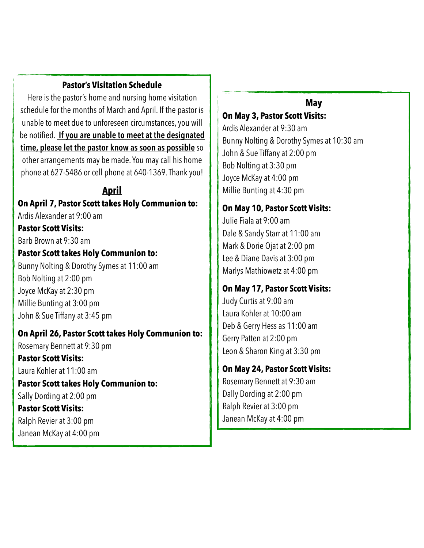# **Pastor's Visitation Schedule**

Here is the pastor's home and nursing home visitation schedule for the months of March and April. If the pastor is unable to meet due to unforeseen circumstances, you will be notified. **If you are unable to meet at the designated time, please let the pastor know as soon as possible** so other arrangements may be made. You may call his home phone at 627-5486 or cell phone at 640-1369. Thank you!

### **April**

**On April 7, Pastor Scott takes Holy Communion to:** Ardis Alexander at 9:00 am **Pastor Scott Visits:** Barb Brown at 9:30 am **Pastor Scott takes Holy Communion to:** Bunny Nolting & Dorothy Symes at 11:00 am Bob Nolting at 2:00 pm Joyce McKay at 2:30 pm Millie Bunting at 3:00 pm John & Sue Tiffany at 3:45 pm

# **On April 26, Pastor Scott takes Holy Communion to:**

Rosemary Bennett at 9:30 pm

**Pastor Scott Visits:** Laura Kohler at 11:00 am

**Pastor Scott takes Holy Communion to:**

Sally Dording at 2:00 pm

**Pastor Scott Visits:**

Ralph Revier at 3:00 pm Janean McKay at 4:00 pm

# **May**

# **On May 3, Pastor Scott Visits:**

Ardis Alexander at 9:30 am Bunny Nolting & Dorothy Symes at 10:30 am John & Sue Tiffany at 2:00 pm Bob Nolting at 3:30 pm Joyce McKay at 4:00 pm Millie Bunting at 4:30 pm

# **On May 10, Pastor Scott Visits:**

Julie Fiala at 9:00 am Dale & Sandy Starr at 11:00 am Mark & Dorie Ojat at 2:00 pm Lee & Diane Davis at 3:00 pm Marlys Mathiowetz at 4:00 pm

# **On May 17, Pastor Scott Visits:**

Judy Curtis at 9:00 am Laura Kohler at 10:00 am Deb & Gerry Hess as 11:00 am Gerry Patten at 2:00 pm Leon & Sharon King at 3:30 pm

# **On May 24, Pastor Scott Visits:**

Rosemary Bennett at 9:30 am Dally Dording at 2:00 pm Ralph Revier at 3:00 pm Janean McKay at 4:00 pm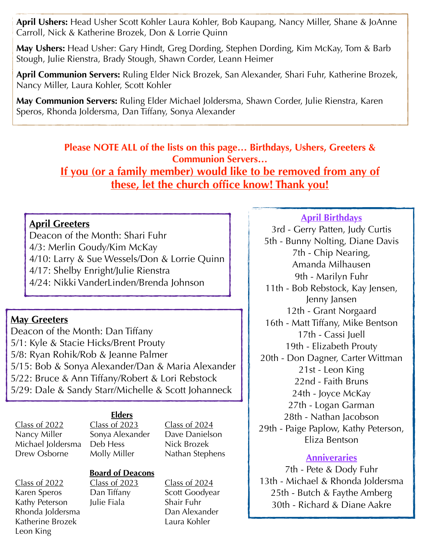**April Ushers:** Head Usher Scott Kohler Laura Kohler, Bob Kaupang, Nancy Miller, Shane & JoAnne Carroll, Nick & Katherine Brozek, Don & Lorrie Quinn

**May Ushers:** Head Usher: Gary Hindt, Greg Dording, Stephen Dording, Kim McKay, Tom & Barb Stough, Julie Rienstra, Brady Stough, Shawn Corder, Leann Heimer

**April Communion Servers:** Ruling Elder Nick Brozek, San Alexander, Shari Fuhr, Katherine Brozek, Nancy Miller, Laura Kohler, Scott Kohler

**May Communion Servers:** Ruling Elder Michael Joldersma, Shawn Corder, Julie Rienstra, Karen Speros, Rhonda Joldersma, Dan Tiffany, Sonya Alexander

> **Please NOTE ALL of the lists on this page… Birthdays, Ushers, Greeters & Communion Servers… If you (or a family member) would like to be removed from any of these, let the church office know! Thank you!**

### **April Greeters**

Deacon of the Month: Shari Fuhr 4/3: Merlin Goudy/Kim McKay 4/10: Larry & Sue Wessels/Don & Lorrie Quinn 4/17: Shelby Enright/Julie Rienstra 4/24: Nikki VanderLinden/Brenda Johnson

# **May Greeters**

Deacon of the Month: Dan Tiffany 5/1: Kyle & Stacie Hicks/Brent Prouty 5/8: Ryan Rohik/Rob & Jeanne Palmer 5/15: Bob & Sonya Alexander/Dan & Maria Alexander 5/22: Bruce & Ann Tiffany/Robert & Lori Rebstock 5/29: Dale & Sandy Starr/Michelle & Scott Johanneck

#### **Elders**

Class of 2022 Class of 2023 Class of 2024<br>
Nancy Miller Sonya Alexander Dave Danielson Nancy Miller Sonya Alexander Michael Joldersma Deb Hess Nick Brozek Drew Osborne Molly Miller Nathan Stephens

Leon King

#### **Board of Deacons**

Kathy Peterson Julie Fiala Shair Fuhr

Class of 2022 Class of 2023 Class of 2024 Karen Speros Dan Tiffany Scott Goodyear Rhonda Joldersma<br>
Dan Alexander Katherine Brozek **Laura Kohler** 

#### **April Birthdays**

3rd - Gerry Patten, Judy Curtis 5th - Bunny Nolting, Diane Davis 7th - Chip Nearing, Amanda Milhausen 9th - Marilyn Fuhr 11th - Bob Rebstock, Kay Jensen, Jenny Jansen 12th - Grant Norgaard 16th - Matt Tiffany, Mike Bentson 17th - Cassi Juell 19th - Elizabeth Prouty 20th - Don Dagner, Carter Wittman 21st - Leon King 22nd - Faith Bruns 24th - Joyce McKay 27th - Logan Garman 28th - Nathan Jacobson 29th - Paige Paplow, Kathy Peterson, Eliza Bentson

#### **Anniveraries**

7th - Pete & Dody Fuhr 13th - Michael & Rhonda Joldersma 25th - Butch & Faythe Amberg 30th - Richard & Diane Aakre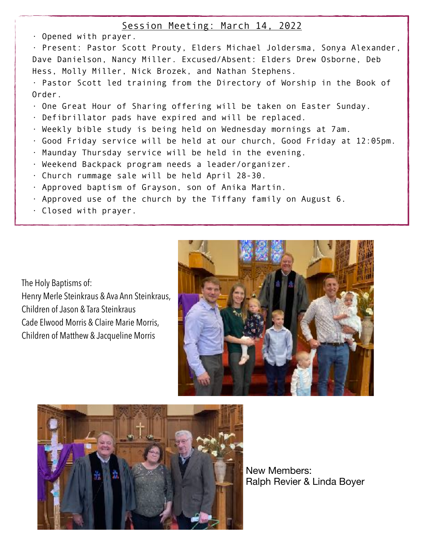### Session Meeting: March 14, 2022

· Opened with prayer.

· Present: Pastor Scott Prouty, Elders Michael Joldersma, Sonya Alexander, Dave Danielson, Nancy Miller. Excused/Absent: Elders Drew Osborne, Deb Hess, Molly Miller, Nick Brozek, and Nathan Stephens.

· Pastor Scott led training from the Directory of Worship in the Book of Order.

- · One Great Hour of Sharing offering will be taken on Easter Sunday.
- · Defibrillator pads have expired and will be replaced.
- · Weekly bible study is being held on Wednesday mornings at 7am.
- · Good Friday service will be held at our church, Good Friday at 12:05pm.
- · Maunday Thursday service will be held in the evening.
- · Weekend Backpack program needs a leader/organizer.
- · Church rummage sale will be held April 28-30.
- · Approved baptism of Grayson, son of Anika Martin.
- · Approved use of the church by the Tiffany family on August 6.
- · Closed with prayer.

The Holy Baptisms of: Henry Merle Steinkraus & Ava Ann Steinkraus, Children of Jason & Tara Steinkraus Cade Elwood Morris & Claire Marie Morris, Children of Matthew & Jacqueline Morris





New Members: Ralph Revier & Linda Boyer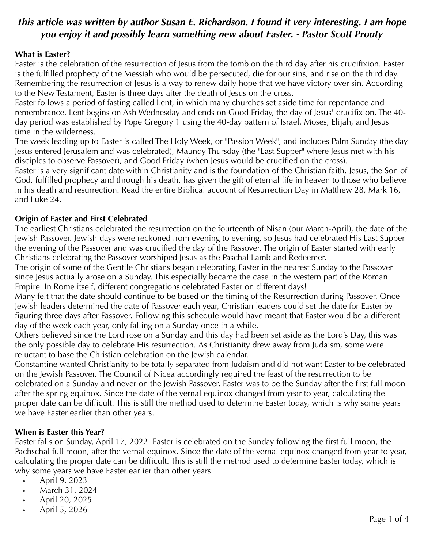# *This article was written by author Susan E. Richardson. I found it very interesting. I am hope you enjoy it and possibly learn something new about Easter. - Pastor Scott Prouty*

#### **What is Easter?**

Easter is the celebration of the resurrection of Jesus from the tomb on the third day after his crucifixion. Easter is the fulfilled prophecy of the Messiah who would be persecuted, die for our sins, and rise on the third day. Remembering the resurrection of Jesus is a way to renew daily hope that we have victory over sin. According to the New Testament, Easter is three days after the death of Jesus on the cross.

Easter follows a period of fasting called Lent, in which many churches set aside time for repentance and remembrance. Lent begins on Ash Wednesday and ends on Good Friday, the day of Jesus' crucifixion. The 40 day period was established by Pope Gregory 1 using the 40-day pattern of Israel, Moses, Elijah, and Jesus' time in the wilderness.

The week leading up to Easter is called The Holy Week, or "Passion Week", and includes Palm Sunday (the day Jesus entered Jerusalem and was celebrated), Maundy Thursday (the "Last Supper" where Jesus met with his disciples to observe Passover), and Good Friday (when Jesus would be crucified on the cross).

Easter is a very significant date within Christianity and is the foundation of the Christian faith. Jesus, the Son of God, fulfilled prophecy and through his death, has given the gift of eternal life in heaven to those who believe in his death and resurrection. Read the entire Biblical account of Resurrection Day in Matthew 28, Mark 16, and Luke 24.

#### **Origin of Easter and First Celebrated**

The earliest Christians celebrated the resurrection on the fourteenth of Nisan (our March-April), the date of the Jewish Passover. Jewish days were reckoned from evening to evening, so Jesus had celebrated His Last Supper the evening of the Passover and was crucified the day of the Passover. The origin of Easter started with early Christians celebrating the Passover worshiped Jesus as the Paschal Lamb and Redeemer.

The origin of some of the Gentile Christians began celebrating Easter in the nearest Sunday to the Passover since Jesus actually arose on a Sunday. This especially became the case in the western part of the Roman Empire. In Rome itself, different congregations celebrated Easter on different days!

Many felt that the date should continue to be based on the timing of the Resurrection during Passover. Once Jewish leaders determined the date of Passover each year, Christian leaders could set the date for Easter by figuring three days after Passover. Following this schedule would have meant that Easter would be a different day of the week each year, only falling on a Sunday once in a while.

Others believed since the Lord rose on a Sunday and this day had been set aside as the Lord's Day, this was the only possible day to celebrate His resurrection. As Christianity drew away from Judaism, some were reluctant to base the Christian celebration on the Jewish calendar.

Constantine wanted Christianity to be totally separated from Judaism and did not want Easter to be celebrated on the Jewish Passover. The Council of Nicea accordingly required the feast of the resurrection to be celebrated on a Sunday and never on the Jewish Passover. Easter was to be the Sunday after the first full moon after the spring equinox. Since the date of the vernal equinox changed from year to year, calculating the proper date can be difficult. This is still the method used to determine Easter today, which is why some years we have Easter earlier than other years.

#### **When is Easter this Year?**

Easter falls on Sunday, April 17, 2022. Easter is celebrated on the Sunday following the first full moon, the Pachschal full moon, after the vernal equinox. Since the date of the vernal equinox changed from year to year, calculating the proper date can be difficult. This is still the method used to determine Easter today, which is why some years we have Easter earlier than other years.

- April 9, 2023
- March 31, 2024
- April 20, 2025
- April 5, 2026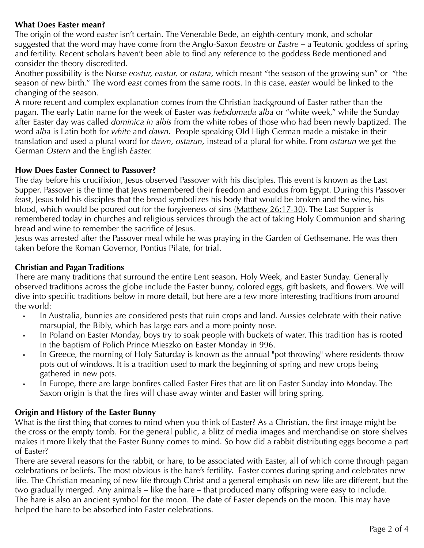#### **What Does Easter mean?**

The origin of the word *easter* isn't certain. The Venerable Bede, an eighth-century monk, and scholar suggested that the word may have come from the Anglo-Saxon *Eeostre* or *Eastre –* a Teutonic goddess of spring and fertility. Recent scholars haven't been able to find any reference to the goddess Bede mentioned and consider the theory discredited.

Another possibility is the Norse *eostur, eastur,* or *ostara,* which meant "the season of the growing sun" or "the season of new birth." The word *east* comes from the same roots. In this case, *easter* would be linked to the changing of the season.

A more recent and complex explanation comes from the Christian background of Easter rather than the pagan. The early Latin name for the week of Easter was *hebdomada alba* or "white week," while the Sunday after Easter day was called *dominica in albis* from the white robes of those who had been newly baptized. The word *alba* is Latin both for *white* and *dawn*. People speaking Old High German made a mistake in their translation and used a plural word for *dawn, ostarun,* instead of a plural for white. From *ostarun* we get the German *Ostern* and the English *Easter.*

#### **How Does Easter Connect to Passover?**

The day before his crucifixion, Jesus observed Passover with his disciples. This event is known as the Last Supper. Passover is the time that Jews remembered their freedom and exodus from Egypt. During this Passover feast, Jesus told his disciples that the bread symbolizes his body that would be broken and the wine, his blood, which would be poured out for the forgiveness of sins [\(Matthew 26:17-30\)](https://www.biblestudytools.com/matthew/passage/?q=matthew+26:17-30). The Last Supper is remembered today in churches and religious services through the act of taking Holy Communion and sharing bread and wine to remember the sacrifice of Jesus.

Jesus was arrested after the Passover meal while he was praying in the Garden of Gethsemane. He was then taken before the Roman Governor, Pontius Pilate, for trial.

#### **Christian and Pagan Traditions**

There are many traditions that surround the entire Lent season, Holy Week, and Easter Sunday. Generally observed traditions across the globe include the Easter bunny, colored eggs, gift baskets, and flowers. We will dive into specific traditions below in more detail, but here are a few more interesting traditions from around the world:

- In Australia, bunnies are considered pests that ruin crops and land. Aussies celebrate with their native marsupial, the Bibly, which has large ears and a more pointy nose.
- In Poland on Easter Monday, boys try to soak people with buckets of water. This tradition has is rooted in the baptism of Polich Prince Mieszko on Easter Monday in 996.
- In Greece, the morning of Holy Saturday is known as the annual "pot throwing" where residents throw pots out of windows. It is a tradition used to mark the beginning of spring and new crops being gathered in new pots.
- In Europe, there are large bonfires called Easter Fires that are lit on Easter Sunday into Monday. The Saxon origin is that the fires will chase away winter and Easter will bring spring.

#### **Origin and History of the Easter Bunny**

What is the first thing that comes to mind when you think of Easter? As a Christian, the first image might be the cross or the empty tomb. For the general public, a blitz of media images and merchandise on store shelves makes it more likely that the Easter Bunny comes to mind. So how did a rabbit distributing eggs become a part of Easter?

There are several reasons for the rabbit, or hare, to be associated with Easter, all of which come through pagan celebrations or beliefs. The most obvious is the hare's fertility. Easter comes during spring and celebrates new life. The Christian meaning of new life through Christ and a general emphasis on new life are different, but the two gradually merged. Any animals – like the hare – that produced many offspring were easy to include. The hare is also an ancient symbol for the moon. The date of Easter depends on the moon. This may have helped the hare to be absorbed into Easter celebrations.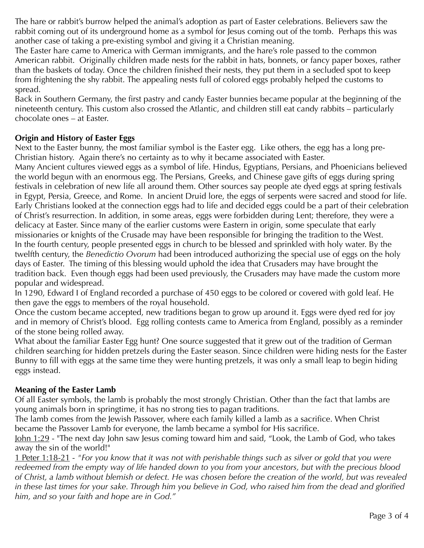The hare or rabbit's burrow helped the animal's adoption as part of Easter celebrations. Believers saw the rabbit coming out of its underground home as a symbol for Jesus coming out of the tomb. Perhaps this was another case of taking a pre-existing symbol and giving it a Christian meaning.

The Easter hare came to America with German immigrants, and the hare's role passed to the common American rabbit. Originally children made nests for the rabbit in hats, bonnets, or fancy paper boxes, rather than the baskets of today. Once the children finished their nests, they put them in a secluded spot to keep from frightening the shy rabbit. The appealing nests full of colored eggs probably helped the customs to spread.

Back in Southern Germany, the first pastry and candy Easter bunnies became popular at the beginning of the nineteenth century. This custom also crossed the Atlantic, and children still eat candy rabbits – particularly chocolate ones – at Easter.

#### **Origin and History of Easter Eggs**

Next to the Easter bunny, the most familiar symbol is the Easter egg. Like others, the egg has a long pre-Christian history. Again there's no certainty as to why it became associated with Easter.

Many Ancient cultures viewed eggs as a symbol of life. Hindus, Egyptians, Persians, and Phoenicians believed the world begun with an enormous egg. The Persians, Greeks, and Chinese gave gifts of eggs during spring festivals in celebration of new life all around them. Other sources say people ate dyed eggs at spring festivals in Egypt, Persia, Greece, and Rome. In ancient Druid lore, the eggs of serpents were sacred and stood for life. Early Christians looked at the connection eggs had to life and decided eggs could be a part of their celebration of Christ's resurrection. In addition, in some areas, eggs were forbidden during Lent; therefore, they were a delicacy at Easter. Since many of the earlier customs were Eastern in origin, some speculate that early missionaries or knights of the Crusade may have been responsible for bringing the tradition to the West. In the fourth century, people presented eggs in church to be blessed and sprinkled with holy water. By the twelfth century, the *Benedictio Ovorum* had been introduced authorizing the special use of eggs on the holy days of Easter. The timing of this blessing would uphold the idea that Crusaders may have brought the tradition back. Even though eggs had been used previously, the Crusaders may have made the custom more popular and widespread.

In 1290, Edward I of England recorded a purchase of 450 eggs to be colored or covered with gold leaf. He then gave the eggs to members of the royal household.

Once the custom became accepted, new traditions began to grow up around it. Eggs were dyed red for joy and in memory of Christ's blood. Egg rolling contests came to America from England, possibly as a reminder of the stone being rolled away.

What about the familiar Easter Egg hunt? One source suggested that it grew out of the tradition of German children searching for hidden pretzels during the Easter season. Since children were hiding nests for the Easter Bunny to fill with eggs at the same time they were hunting pretzels, it was only a small leap to begin hiding eggs instead.

#### **Meaning of the Easter Lamb**

Of all Easter symbols, the lamb is probably the most strongly Christian. Other than the fact that lambs are young animals born in springtime, it has no strong ties to pagan traditions.

The lamb comes from the Jewish Passover, where each family killed a lamb as a sacrifice. When Christ became the Passover Lamb for everyone, the lamb became a symbol for His sacrifice.

[John 1:29](https://www.biblestudytools.com/john/1-29.html) - "The next day John saw Jesus coming toward him and said, "Look, the Lamb of God, who takes away the sin of the world!"

[1 Peter 1:18-21](https://www.biblestudytools.com/1-peter/passage/?q=1-peter+1:18-21) - *"For you know that it was not with perishable things such as silver or gold that you were redeemed from the empty way of life handed down to you from your ancestors, but with the precious blood of Christ, a lamb without blemish or defect. He was chosen before the creation of the world, but was revealed in these last times for your sake. Through him you believe in God, who raised him from the dead and glorified him, and so your faith and hope are in God."*